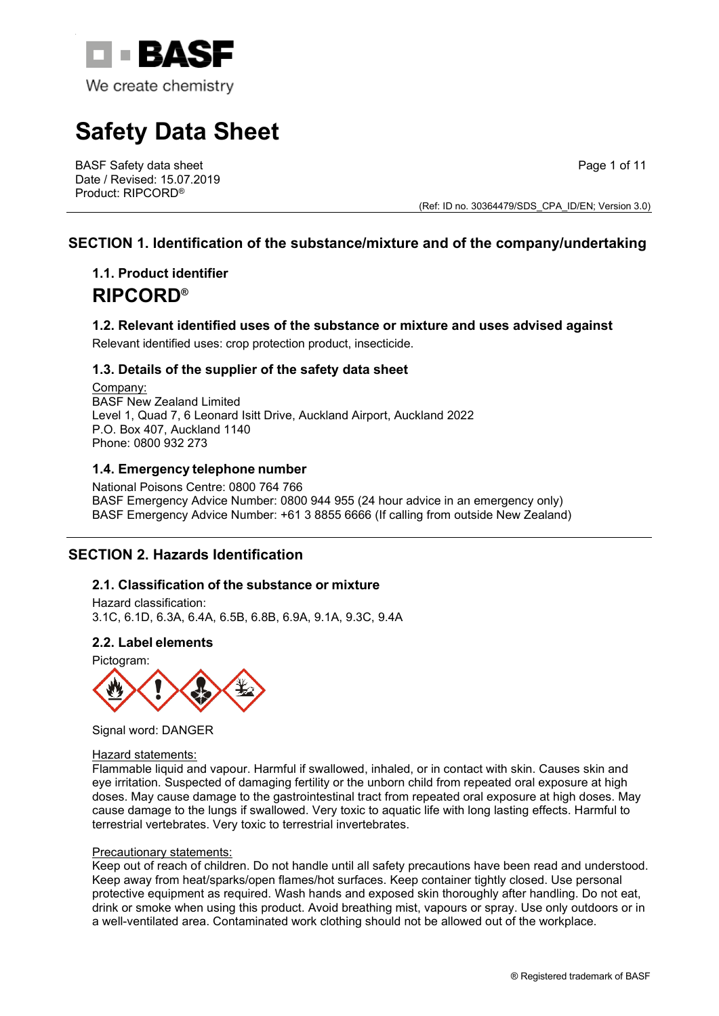

# **Safety Data Sheet**

BASF Safety data sheet Date / Revised: 15.07.2019 Product: RIPCORD®

Page 1 of 11

(Ref: ID no. 30364479/SDS\_CPA\_ID/EN; Version 3.0)

# **SECTION 1. Identification of the substance/mixture and of the company/undertaking**

# **1.1. Product identifier RIPCORD®**

# **1.2. Relevant identified uses of the substance or mixture and uses advised against**

Relevant identified uses: crop protection product, insecticide.

## **1.3. Details of the supplier of the safety data sheet**

Company: BASF New Zealand Limited Level 1, Quad 7, 6 Leonard Isitt Drive, Auckland Airport, Auckland 2022 P.O. Box 407, Auckland 1140 Phone: 0800 932 273

# **1.4. Emergency telephone number**

National Poisons Centre: 0800 764 766 BASF Emergency Advice Number: 0800 944 955 (24 hour advice in an emergency only) BASF Emergency Advice Number: +61 3 8855 6666 (If calling from outside New Zealand)

# **SECTION 2. Hazards Identification**

## **2.1. Classification of the substance or mixture**

Hazard classification: 3.1C, 6.1D, 6.3A, 6.4A, 6.5B, 6.8B, 6.9A, 9.1A, 9.3C, 9.4A

# **2.2. Label elements**





Signal word: DANGER

#### Hazard statements:

Flammable liquid and vapour. Harmful if swallowed, inhaled, or in contact with skin. Causes skin and eye irritation. Suspected of damaging fertility or the unborn child from repeated oral exposure at high doses. May cause damage to the gastrointestinal tract from repeated oral exposure at high doses. May cause damage to the lungs if swallowed. Very toxic to aquatic life with long lasting effects. Harmful to terrestrial vertebrates. Very toxic to terrestrial invertebrates.

#### Precautionary statements:

Keep out of reach of children. Do not handle until all safety precautions have been read and understood. Keep away from heat/sparks/open flames/hot surfaces. Keep container tightly closed. Use personal protective equipment as required. Wash hands and exposed skin thoroughly after handling. Do not eat, drink or smoke when using this product. Avoid breathing mist, vapours or spray. Use only outdoors or in a well-ventilated area. Contaminated work clothing should not be allowed out of the workplace.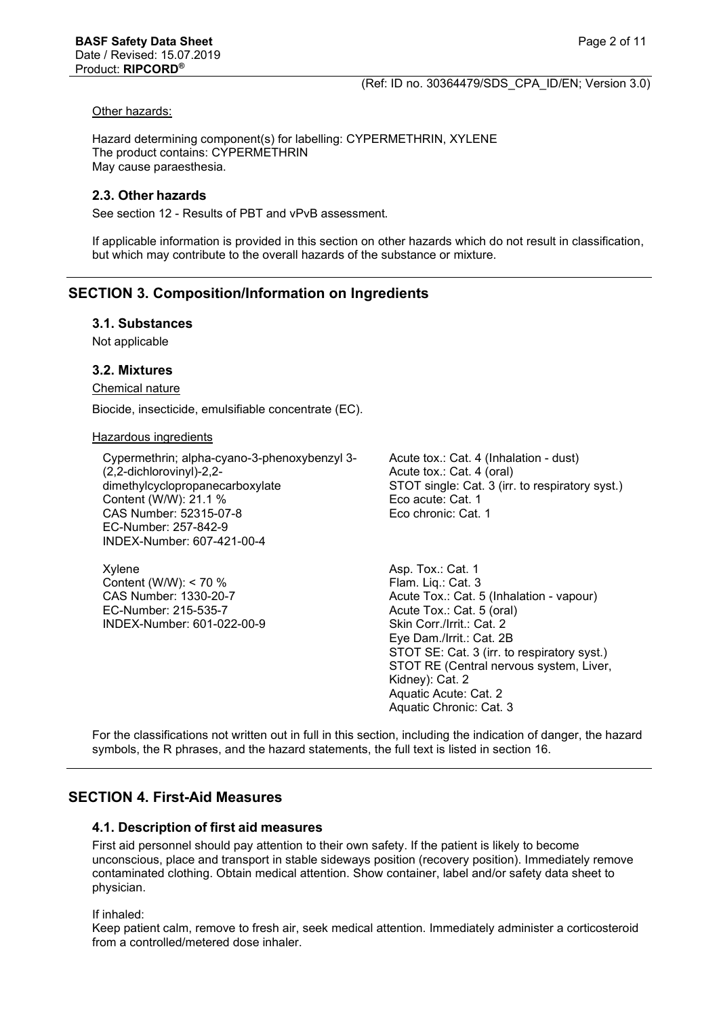#### Other hazards:

Hazard determining component(s) for labelling: CYPERMETHRIN, XYLENE The product contains: CYPERMETHRIN May cause paraesthesia.

#### **2.3. Other hazards**

See section 12 - Results of PBT and vPvB assessment.

If applicable information is provided in this section on other hazards which do not result in classification, but which may contribute to the overall hazards of the substance or mixture.

# **SECTION 3. Composition/Information on Ingredients**

#### **3.1. Substances**

Not applicable

#### **3.2. Mixtures**

Chemical nature

Biocide, insecticide, emulsifiable concentrate (EC).

#### Hazardous ingredients

Cypermethrin; alpha-cyano-3-phenoxybenzyl 3- (2,2-dichlorovinyl)-2,2 dimethylcyclopropanecarboxylate Content (W/W): 21.1 % CAS Number: 52315-07-8 EC-Number: 257-842-9 INDEX-Number: 607-421-00-4

Xylene Content (W/W): < 70 % CAS Number: 1330-20-7 EC-Number: 215-535-7 INDEX-Number: 601-022-00-9 Acute tox.: Cat. 4 (Inhalation - dust) Acute tox.: Cat. 4 (oral) STOT single: Cat. 3 (irr. to respiratory syst.) Eco acute: Cat. 1 Eco chronic: Cat. 1

Asp. Tox.: Cat. 1 Flam. Liq.: Cat. 3 Acute Tox.: Cat. 5 (Inhalation - vapour) Acute Tox.: Cat. 5 (oral) Skin Corr./Irrit.: Cat. 2 Eye Dam./Irrit.: Cat. 2B STOT SE: Cat. 3 (irr. to respiratory syst.) STOT RE (Central nervous system, Liver, Kidney): Cat. 2 Aquatic Acute: Cat. 2 Aquatic Chronic: Cat. 3

For the classifications not written out in full in this section, including the indication of danger, the hazard symbols, the R phrases, and the hazard statements, the full text is listed in section 16.

## **SECTION 4. First-Aid Measures**

## **4.1. Description of first aid measures**

First aid personnel should pay attention to their own safety. If the patient is likely to become unconscious, place and transport in stable sideways position (recovery position). Immediately remove contaminated clothing. Obtain medical attention. Show container, label and/or safety data sheet to physician.

If inhaled:

Keep patient calm, remove to fresh air, seek medical attention. Immediately administer a corticosteroid from a controlled/metered dose inhaler.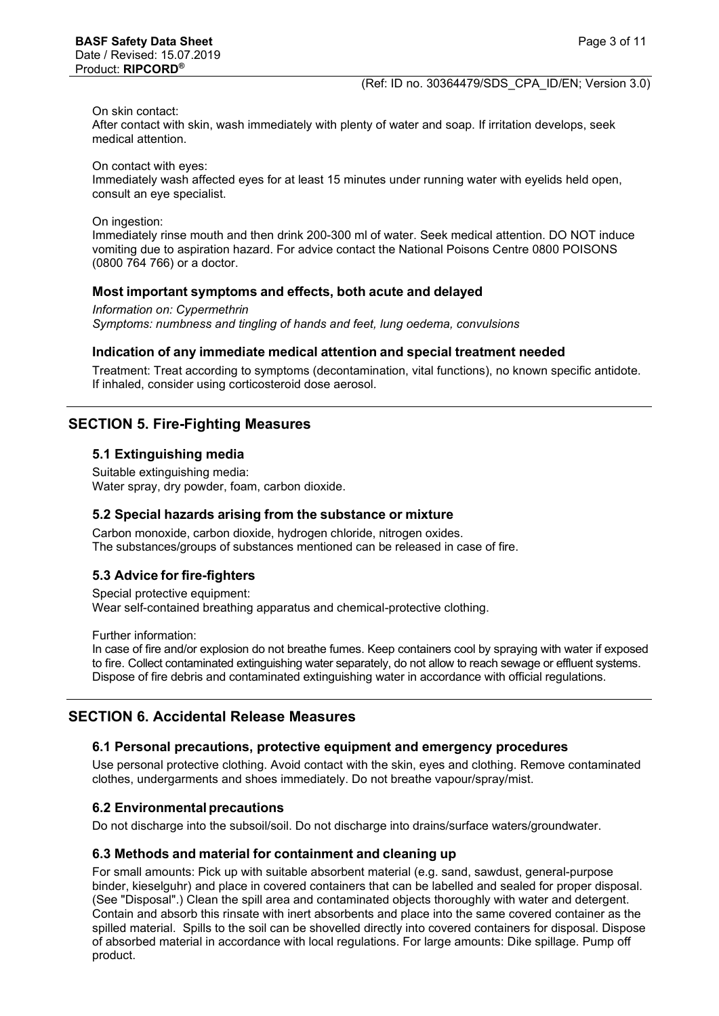#### On skin contact:

After contact with skin, wash immediately with plenty of water and soap. If irritation develops, seek medical attention.

On contact with eyes:

Immediately wash affected eyes for at least 15 minutes under running water with eyelids held open, consult an eye specialist.

On ingestion:

Immediately rinse mouth and then drink 200-300 ml of water. Seek medical attention. DO NOT induce vomiting due to aspiration hazard. For advice contact the National Poisons Centre 0800 POISONS (0800 764 766) or a doctor.

#### **Most important symptoms and effects, both acute and delayed**

*Information on: Cypermethrin Symptoms: numbness and tingling of hands and feet, lung oedema, convulsions*

#### **Indication of any immediate medical attention and special treatment needed**

Treatment: Treat according to symptoms (decontamination, vital functions), no known specific antidote. If inhaled, consider using corticosteroid dose aerosol.

# **SECTION 5. Fire-Fighting Measures**

#### **5.1 Extinguishing media**

Suitable extinguishing media: Water spray, dry powder, foam, carbon dioxide.

#### **5.2 Special hazards arising from the substance or mixture**

Carbon monoxide, carbon dioxide, hydrogen chloride, nitrogen oxides. The substances/groups of substances mentioned can be released in case of fire.

## **5.3 Advice for fire-fighters**

Special protective equipment: Wear self-contained breathing apparatus and chemical-protective clothing.

Further information:

In case of fire and/or explosion do not breathe fumes. Keep containers cool by spraying with water if exposed to fire. Collect contaminated extinguishing water separately, do not allow to reach sewage or effluent systems. Dispose of fire debris and contaminated extinguishing water in accordance with official regulations.

## **SECTION 6. Accidental Release Measures**

#### **6.1 Personal precautions, protective equipment and emergency procedures**

Use personal protective clothing. Avoid contact with the skin, eyes and clothing. Remove contaminated clothes, undergarments and shoes immediately. Do not breathe vapour/spray/mist.

#### **6.2 Environmentalprecautions**

Do not discharge into the subsoil/soil. Do not discharge into drains/surface waters/groundwater.

#### **6.3 Methods and material for containment and cleaning up**

For small amounts: Pick up with suitable absorbent material (e.g. sand, sawdust, general-purpose binder, kieselguhr) and place in covered containers that can be labelled and sealed for proper disposal. (See "Disposal".) Clean the spill area and contaminated objects thoroughly with water and detergent. Contain and absorb this rinsate with inert absorbents and place into the same covered container as the spilled material. Spills to the soil can be shovelled directly into covered containers for disposal. Dispose of absorbed material in accordance with local regulations. For large amounts: Dike spillage. Pump off product.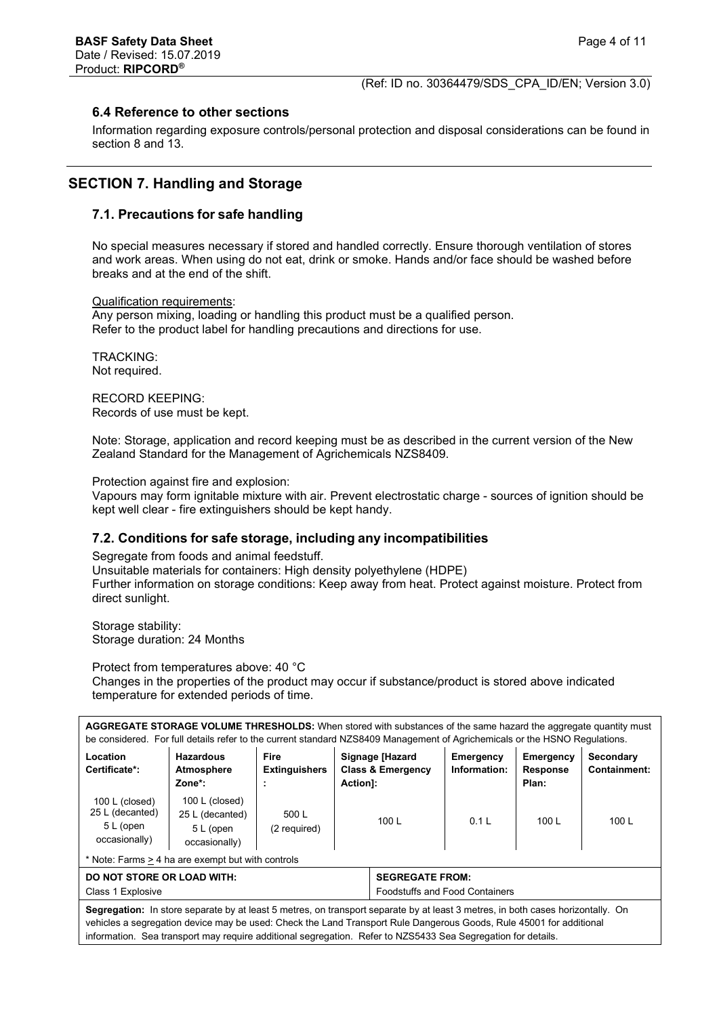# **6.4 Reference to other sections**

Information regarding exposure controls/personal protection and disposal considerations can be found in section 8 and 13.

# **SECTION 7. Handling and Storage**

# **7.1. Precautions for safe handling**

No special measures necessary if stored and handled correctly. Ensure thorough ventilation of stores and work areas. When using do not eat, drink or smoke. Hands and/or face should be washed before breaks and at the end of the shift.

Qualification requirements:

Any person mixing, loading or handling this product must be a qualified person. Refer to the product label for handling precautions and directions for use.

TRACKING: Not required.

RECORD KEEPING: Records of use must be kept.

Note: Storage, application and record keeping must be as described in the current version of the New Zealand Standard for the Management of Agrichemicals NZS8409.

Protection against fire and explosion:

Vapours may form ignitable mixture with air. Prevent electrostatic charge - sources of ignition should be kept well clear - fire extinguishers should be kept handy.

# **7.2. Conditions for safe storage, including any incompatibilities**

Segregate from foods and animal feedstuff.

Unsuitable materials for containers: High density polyethylene (HDPE) Further information on storage conditions: Keep away from heat. Protect against moisture. Protect from direct sunlight.

Storage stability: Storage duration: 24 Months

Protect from temperatures above: 40 °C Changes in the properties of the product may occur if substance/product is stored above indicated temperature for extended periods of time.

| AGGREGATE STORAGE VOLUME THRESHOLDS: When stored with substances of the same hazard the aggregate quantity must<br>be considered. For full details refer to the current standard NZS8409 Management of Agrichemicals or the HSNO Regulations.          |                                                                 |                              |                                                                 |                                                 |                           |                                       |                           |
|--------------------------------------------------------------------------------------------------------------------------------------------------------------------------------------------------------------------------------------------------------|-----------------------------------------------------------------|------------------------------|-----------------------------------------------------------------|-------------------------------------------------|---------------------------|---------------------------------------|---------------------------|
| Location<br>Certificate*:                                                                                                                                                                                                                              | <b>Hazardous</b><br>Atmosphere<br>Zone*:                        | Fire<br><b>Extinguishers</b> | Action]:                                                        | Signage [Hazard<br><b>Class &amp; Emergency</b> | Emergency<br>Information: | Emergency<br><b>Response</b><br>Plan: | Secondary<br>Containment: |
| 100 $L$ (closed)<br>25 L (decanted)<br>5 L (open<br>occasionally)                                                                                                                                                                                      | 100 L (closed)<br>25 L (decanted)<br>5 L (open<br>occasionally) | 500 L<br>(2 required)        |                                                                 | 100 $L$                                         | 0.1 L                     | 100 $L$                               | 100 L                     |
| * Note: Farms > 4 ha are exempt but with controls                                                                                                                                                                                                      |                                                                 |                              |                                                                 |                                                 |                           |                                       |                           |
| <b>DO NOT STORE OR LOAD WITH:</b><br>Class 1 Explosive                                                                                                                                                                                                 |                                                                 |                              | <b>SEGREGATE FROM:</b><br><b>Foodstuffs and Food Containers</b> |                                                 |                           |                                       |                           |
| Segregation: In store separate by at least 5 metres, on transport separate by at least 3 metres, in both cases horizontally. On<br>vehicles a segregation device may be used: Check the Land Transport Rule Dangerous Goods, Rule 45001 for additional |                                                                 |                              |                                                                 |                                                 |                           |                                       |                           |

information. Sea transport may require additional segregation. Refer to NZS5433 Sea Segregation for details.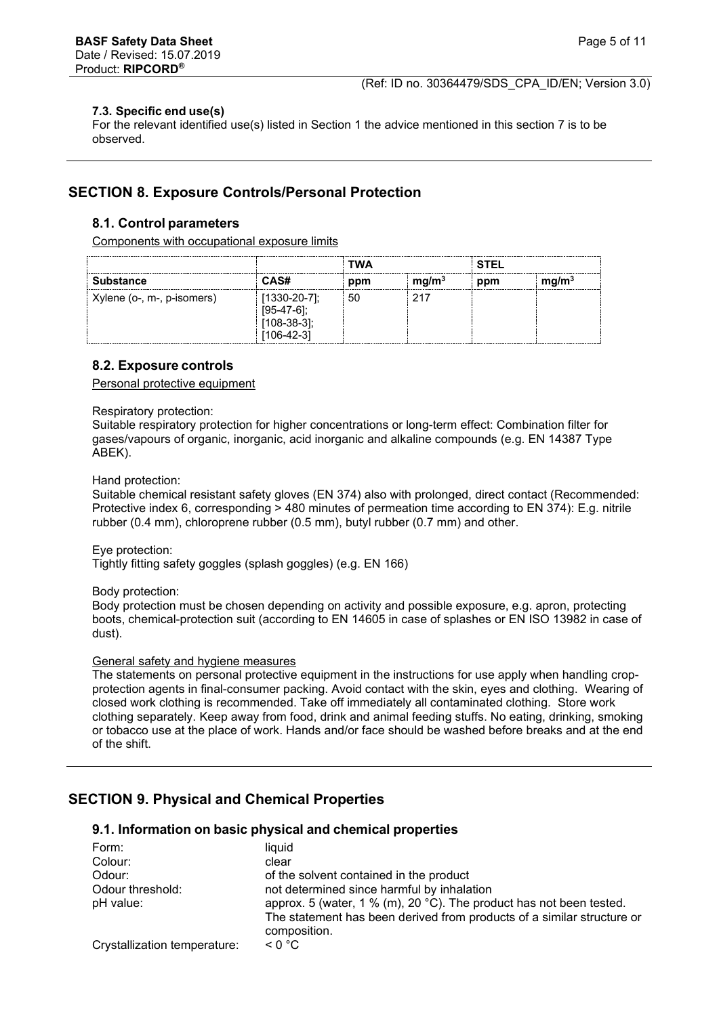#### **7.3. Specific end use(s)**

For the relevant identified use(s) listed in Section 1 the advice mentioned in this section 7 is to be observed.

# **SECTION 8. Exposure Controls/Personal Protection**

## **8.1. Control parameters**

Components with occupational exposure limits

|                            |                                               | TWA |                   | STEL |                   |
|----------------------------|-----------------------------------------------|-----|-------------------|------|-------------------|
| <b>Substance</b>           | CAS#                                          | ppm | mq/m <sup>3</sup> | ppm  | mg/m <sup>3</sup> |
| Xylene (o-, m-, p-isomers) | $1330 - 20 - 71$ :<br>108-38-31:<br>106-42-31 | 50  |                   |      |                   |

#### **8.2. Exposure controls**

Personal protective equipment

Respiratory protection:

Suitable respiratory protection for higher concentrations or long-term effect: Combination filter for gases/vapours of organic, inorganic, acid inorganic and alkaline compounds (e.g. EN 14387 Type ABEK).

Hand protection:

Suitable chemical resistant safety gloves (EN 374) also with prolonged, direct contact (Recommended: Protective index 6, corresponding > 480 minutes of permeation time according to EN 374): E.g. nitrile rubber (0.4 mm), chloroprene rubber (0.5 mm), butyl rubber (0.7 mm) and other.

Eye protection:

Tightly fitting safety goggles (splash goggles) (e.g. EN 166)

Body protection:

Body protection must be chosen depending on activity and possible exposure, e.g. apron, protecting boots, chemical-protection suit (according to EN 14605 in case of splashes or EN ISO 13982 in case of dust).

#### General safety and hygiene measures

The statements on personal protective equipment in the instructions for use apply when handling cropprotection agents in final-consumer packing. Avoid contact with the skin, eyes and clothing. Wearing of closed work clothing is recommended. Take off immediately all contaminated clothing. Store work clothing separately. Keep away from food, drink and animal feeding stuffs. No eating, drinking, smoking or tobacco use at the place of work. Hands and/or face should be washed before breaks and at the end of the shift.

# **SECTION 9. Physical and Chemical Properties**

## **9.1. Information on basic physical and chemical properties**

| Form:                        | liquid                                                                                 |
|------------------------------|----------------------------------------------------------------------------------------|
| Colour:                      | clear                                                                                  |
| Odour:                       | of the solvent contained in the product                                                |
| Odour threshold:             | not determined since harmful by inhalation                                             |
| pH value:                    | approx. 5 (water, 1 % (m), 20 °C). The product has not been tested.                    |
|                              | The statement has been derived from products of a similar structure or<br>composition. |
| Crystallization temperature: | $\leq 0$ °C                                                                            |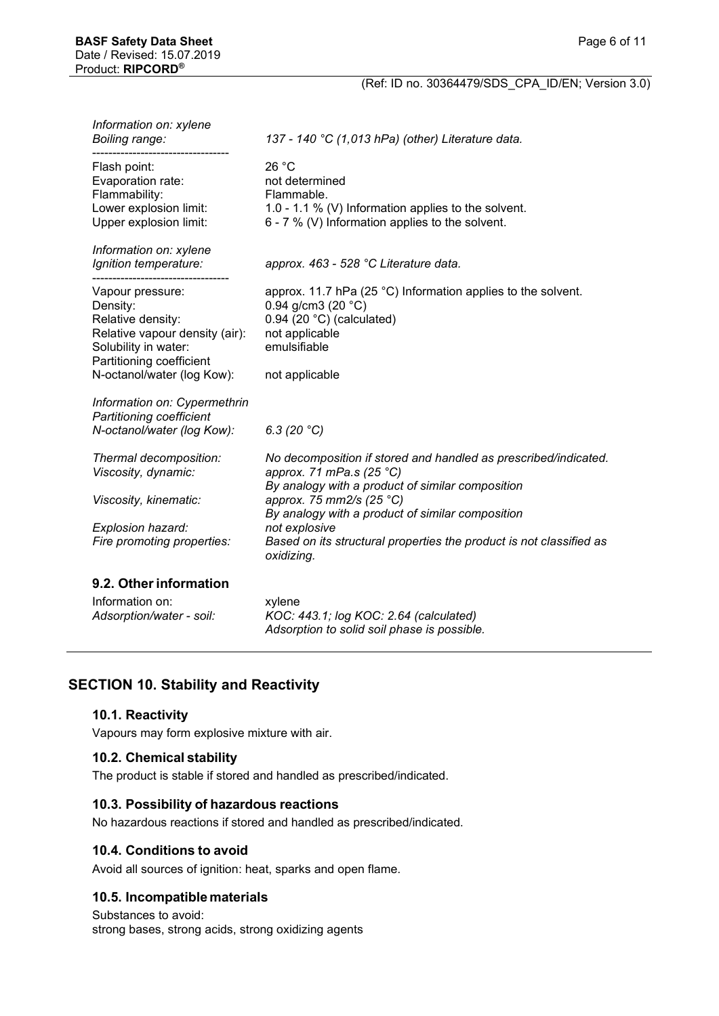| Information on: xylene<br>Boiling range:                                                                                                                              | 137 - 140 °C (1,013 hPa) (other) Literature data.                                                                                                                                                                                                                                                                                     |
|-----------------------------------------------------------------------------------------------------------------------------------------------------------------------|---------------------------------------------------------------------------------------------------------------------------------------------------------------------------------------------------------------------------------------------------------------------------------------------------------------------------------------|
| Flash point:<br>Evaporation rate:<br>Flammability:<br>Lower explosion limit:<br>Upper explosion limit:                                                                | 26 °C<br>not determined<br>Flammable.<br>1.0 - 1.1 % (V) Information applies to the solvent.<br>6 - 7 % (V) Information applies to the solvent.                                                                                                                                                                                       |
| Information on: xylene<br>Ignition temperature:                                                                                                                       | approx. 463 - 528 °C Literature data.                                                                                                                                                                                                                                                                                                 |
| Vapour pressure:<br>Density:<br>Relative density:<br>Relative vapour density (air):<br>Solubility in water:<br>Partitioning coefficient<br>N-octanol/water (log Kow): | approx. 11.7 hPa (25 °C) Information applies to the solvent.<br>0.94 g/cm3 (20 $°C$ )<br>$0.94$ (20 $°C$ ) (calculated)<br>not applicable<br>emulsifiable<br>not applicable                                                                                                                                                           |
| Information on: Cypermethrin<br>Partitioning coefficient<br>N-octanol/water (log Kow):                                                                                | 6.3 $(20 °C)$                                                                                                                                                                                                                                                                                                                         |
| Thermal decomposition:<br>Viscosity, dynamic:<br>Viscosity, kinematic:<br>Explosion hazard:<br>Fire promoting properties:                                             | No decomposition if stored and handled as prescribed/indicated.<br>approx. 71 mPa.s (25 °C)<br>By analogy with a product of similar composition<br>approx. 75 mm2/s (25 °C)<br>By analogy with a product of similar composition<br>not explosive<br>Based on its structural properties the product is not classified as<br>oxidizing. |
| 9.2. Other information                                                                                                                                                |                                                                                                                                                                                                                                                                                                                                       |
| Information on:<br>Adsorption/water - soil:                                                                                                                           | xylene<br>KOC: 443.1; log KOC: 2.64 (calculated)<br>Adsorption to solid soil phase is possible.                                                                                                                                                                                                                                       |

# **SECTION 10. Stability and Reactivity**

## **10.1. Reactivity**

Vapours may form explosive mixture with air.

#### **10.2. Chemical stability**

The product is stable if stored and handled as prescribed/indicated.

#### **10.3. Possibility of hazardous reactions**

No hazardous reactions if stored and handled as prescribed/indicated.

# **10.4. Conditions to avoid**

Avoid all sources of ignition: heat, sparks and open flame.

# **10.5. Incompatible materials**

Substances to avoid: strong bases, strong acids, strong oxidizing agents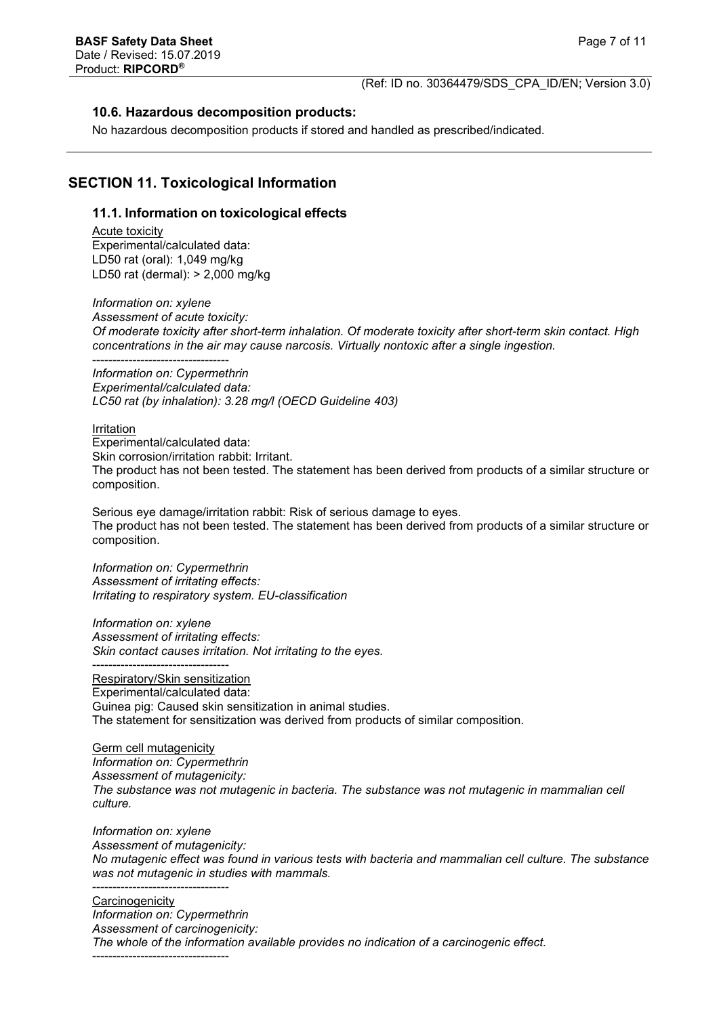## **10.6. Hazardous decomposition products:**

No hazardous decomposition products if stored and handled as prescribed/indicated.

# **SECTION 11. Toxicological Information**

#### **11.1. Information on toxicological effects**

Acute toxicity Experimental/calculated data: LD50 rat (oral): 1,049 mg/kg LD50 rat (dermal): > 2,000 mg/kg

*Information on: xylene Assessment of acute toxicity: Of moderate toxicity after short-term inhalation. Of moderate toxicity after short-term skin contact. High concentrations in the air may cause narcosis. Virtually nontoxic after a single ingestion.*

---------------------------------- *Information on: Cypermethrin Experimental/calculated data: LC50 rat (by inhalation): 3.28 mg/l (OECD Guideline 403)*

Irritation

Experimental/calculated data: Skin corrosion/irritation rabbit: Irritant. The product has not been tested. The statement has been derived from products of a similar structure or composition.

Serious eye damage/irritation rabbit: Risk of serious damage to eyes. The product has not been tested. The statement has been derived from products of a similar structure or composition.

*Information on: Cypermethrin Assessment of irritating effects: Irritating to respiratory system. EU-classification*

*Information on: xylene Assessment of irritating effects: Skin contact causes irritation. Not irritating to the eyes.*

---------------------------------- Respiratory/Skin sensitization Experimental/calculated data: Guinea pig: Caused skin sensitization in animal studies. The statement for sensitization was derived from products of similar composition.

Germ cell mutagenicity *Information on: Cypermethrin Assessment of mutagenicity: The substance was not mutagenic in bacteria. The substance was not mutagenic in mammalian cell culture.*

*Information on: xylene Assessment of mutagenicity: No mutagenic effect was found in various tests with bacteria and mammalian cell culture. The substance was not mutagenic in studies with mammals.* ----------------------------------

**Carcinogenicity** *Information on: Cypermethrin Assessment of carcinogenicity: The whole of the information available provides no indication of a carcinogenic effect.* ----------------------------------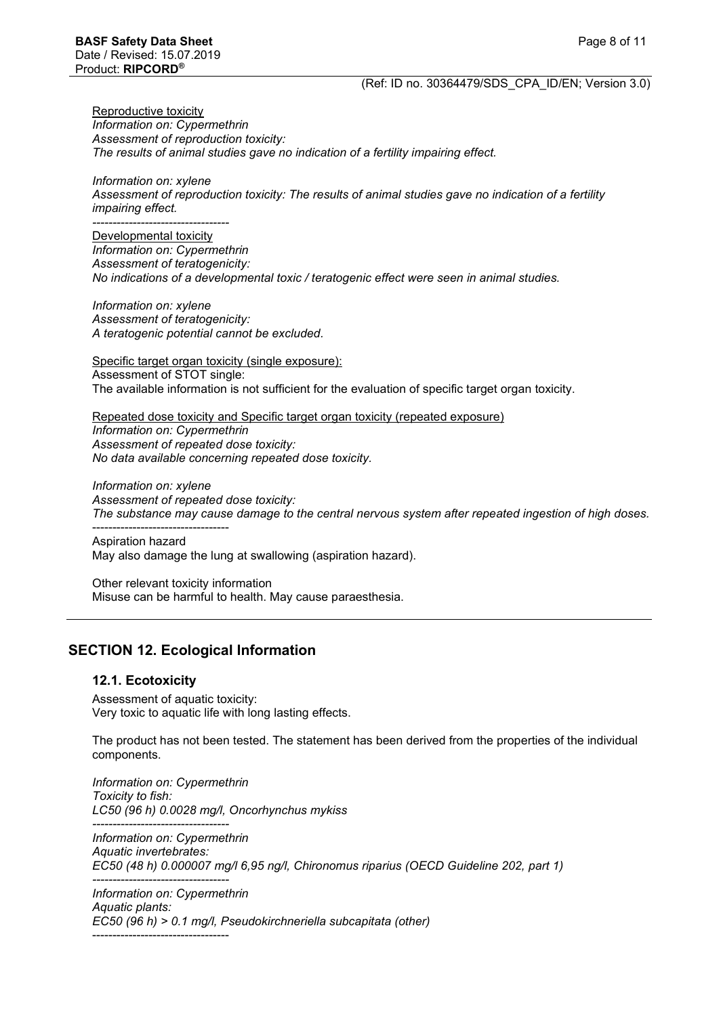Reproductive toxicity *Information on: Cypermethrin Assessment of reproduction toxicity: The results of animal studies gave no indication of a fertility impairing effect.*

*Information on: xylene Assessment of reproduction toxicity: The results of animal studies gave no indication of a fertility impairing effect.*

*----------------------------------* Developmental toxicity *Information on: Cypermethrin Assessment of teratogenicity: No indications of a developmental toxic / teratogenic effect were seen in animal studies.*

*Information on: xylene Assessment of teratogenicity: A teratogenic potential cannot be excluded.*

Specific target organ toxicity (single exposure): Assessment of STOT single: The available information is not sufficient for the evaluation of specific target organ toxicity.

Repeated dose toxicity and Specific target organ toxicity (repeated exposure) *Information on: Cypermethrin Assessment of repeated dose toxicity: No data available concerning repeated dose toxicity.*

*Information on: xylene Assessment of repeated dose toxicity: The substance may cause damage to the central nervous system after repeated ingestion of high doses.*

---------------------------------- Aspiration hazard May also damage the lung at swallowing (aspiration hazard).

Other relevant toxicity information Misuse can be harmful to health. May cause paraesthesia.

# **SECTION 12. Ecological Information**

#### **12.1. Ecotoxicity**

Assessment of aquatic toxicity: Very toxic to aquatic life with long lasting effects.

The product has not been tested. The statement has been derived from the properties of the individual components.

*Information on: Cypermethrin Toxicity to fish: LC50 (96 h) 0.0028 mg/l, Oncorhynchus mykiss*

*---------------------------------- Information on: Cypermethrin Aquatic invertebrates: EC50 (48 h) 0.000007 mg/l 6,95 ng/l, Chironomus riparius (OECD Guideline 202, part 1)*

*---------------------------------- Information on: Cypermethrin Aquatic plants: EC50 (96 h) > 0.1 mg/l, Pseudokirchneriella subcapitata (other)* ----------------------------------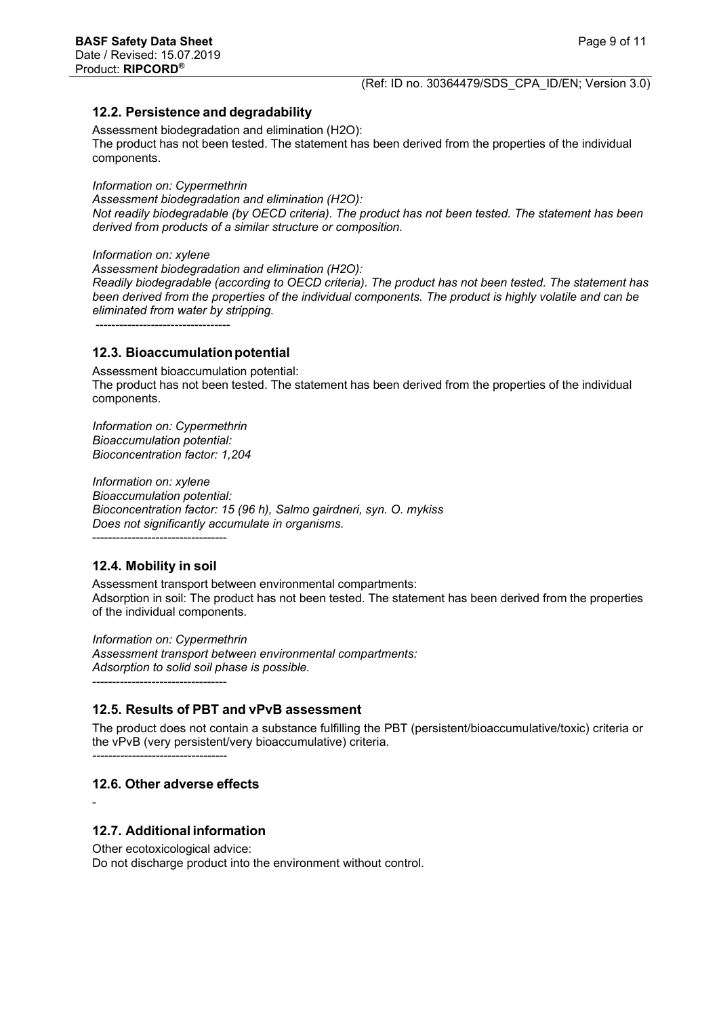## **12.2. Persistence and degradability**

Assessment biodegradation and elimination (H2O): The product has not been tested. The statement has been derived from the properties of the individual components.

*Information on: Cypermethrin*

*Assessment biodegradation and elimination (H2O): Not readily biodegradable (by OECD criteria). The product has not been tested. The statement has been derived from products of a similar structure or composition.*

*Information on: xylene*

*Assessment biodegradation and elimination (H2O): Readily biodegradable (according to OECD criteria). The product has not been tested. The statement has been derived from the properties of the individual components. The product is highly volatile and can be eliminated from water by stripping.*

----------------------------------

#### **12.3. Bioaccumulation potential**

Assessment bioaccumulation potential: The product has not been tested. The statement has been derived from the properties of the individual components.

*Information on: Cypermethrin Bioaccumulation potential: Bioconcentration factor: 1,204*

*Information on: xylene Bioaccumulation potential: Bioconcentration factor: 15 (96 h), Salmo gairdneri, syn. O. mykiss Does not significantly accumulate in organisms.*

## **12.4. Mobility in soil**

----------------------------------

Assessment transport between environmental compartments: Adsorption in soil: The product has not been tested. The statement has been derived from the properties of the individual components.

*Information on: Cypermethrin Assessment transport between environmental compartments: Adsorption to solid soil phase is possible.* ----------------------------------

## **12.5. Results of PBT and vPvB assessment**

The product does not contain a substance fulfilling the PBT (persistent/bioaccumulative/toxic) criteria or the vPvB (very persistent/very bioaccumulative) criteria.

*----------------------------------*

# **12.6. Other adverse effects**

-

# **12.7. Additional information**

Other ecotoxicological advice: Do not discharge product into the environment without control.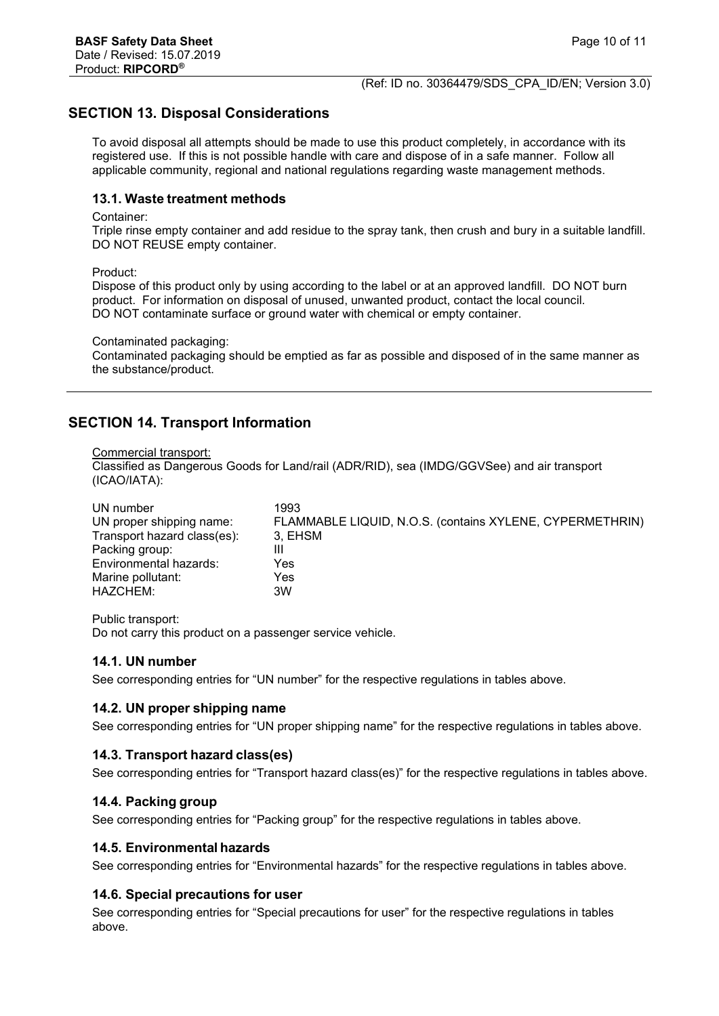# **SECTION 13. Disposal Considerations**

To avoid disposal all attempts should be made to use this product completely, in accordance with its registered use. If this is not possible handle with care and dispose of in a safe manner. Follow all applicable community, regional and national regulations regarding waste management methods.

#### **13.1. Waste treatment methods**

#### Container:

Triple rinse empty container and add residue to the spray tank, then crush and bury in a suitable landfill. DO NOT REUSE empty container.

Product:

Dispose of this product only by using according to the label or at an approved landfill. DO NOT burn product. For information on disposal of unused, unwanted product, contact the local council. DO NOT contaminate surface or ground water with chemical or empty container.

Contaminated packaging:

Contaminated packaging should be emptied as far as possible and disposed of in the same manner as the substance/product.

# **SECTION 14. Transport Information**

#### Commercial transport:

Classified as Dangerous Goods for Land/rail (ADR/RID), sea (IMDG/GGVSee) and air transport (ICAO/IATA):

| UN number                   | 1993                                                     |
|-----------------------------|----------------------------------------------------------|
| UN proper shipping name:    | FLAMMABLE LIQUID, N.O.S. (contains XYLENE, CYPERMETHRIN) |
| Transport hazard class(es): | 3. EHSM                                                  |
| Packing group:              | Ш                                                        |
| Environmental hazards:      | Yes                                                      |
| Marine pollutant:           | Yes                                                      |
| HAZCHEM:                    | 3W                                                       |

Public transport: Do not carry this product on a passenger service vehicle.

## **14.1. UN number**

See corresponding entries for "UN number" for the respective regulations in tables above.

## **14.2. UN proper shipping name**

See corresponding entries for "UN proper shipping name" for the respective regulations in tables above.

## **14.3. Transport hazard class(es)**

See corresponding entries for "Transport hazard class(es)" for the respective regulations in tables above.

## **14.4. Packing group**

See corresponding entries for "Packing group" for the respective regulations in tables above.

#### **14.5. Environmental hazards**

See corresponding entries for "Environmental hazards" for the respective regulations in tables above.

## **14.6. Special precautions for user**

See corresponding entries for "Special precautions for user" for the respective regulations in tables above.